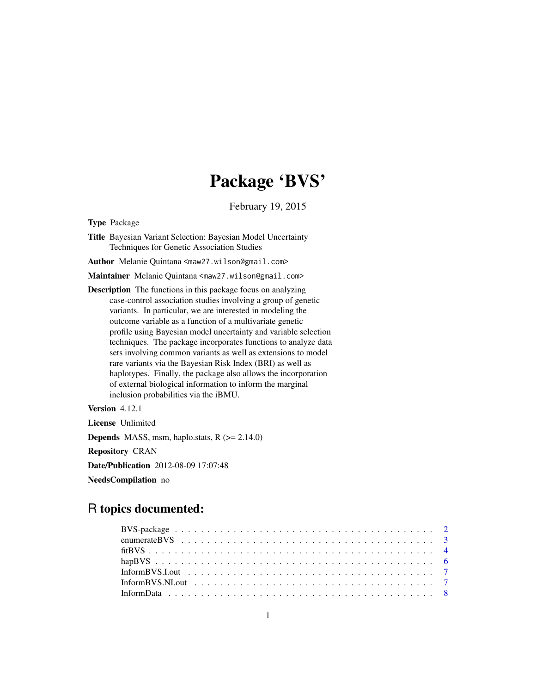## Package 'BVS'

February 19, 2015

Type Package

Title Bayesian Variant Selection: Bayesian Model Uncertainty Techniques for Genetic Association Studies

Author Melanie Quintana <maw27.wilson@gmail.com>

Maintainer Melanie Quintana <maw27.wilson@gmail.com>

Description The functions in this package focus on analyzing case-control association studies involving a group of genetic variants. In particular, we are interested in modeling the outcome variable as a function of a multivariate genetic profile using Bayesian model uncertainty and variable selection techniques. The package incorporates functions to analyze data sets involving common variants as well as extensions to model rare variants via the Bayesian Risk Index (BRI) as well as haplotypes. Finally, the package also allows the incorporation of external biological information to inform the marginal inclusion probabilities via the iBMU.

Version 4.12.1

License Unlimited

**Depends** MASS, msm, haplo.stats,  $R$  ( $>= 2.14.0$ )

Repository CRAN

Date/Publication 2012-08-09 17:07:48

NeedsCompilation no

### R topics documented: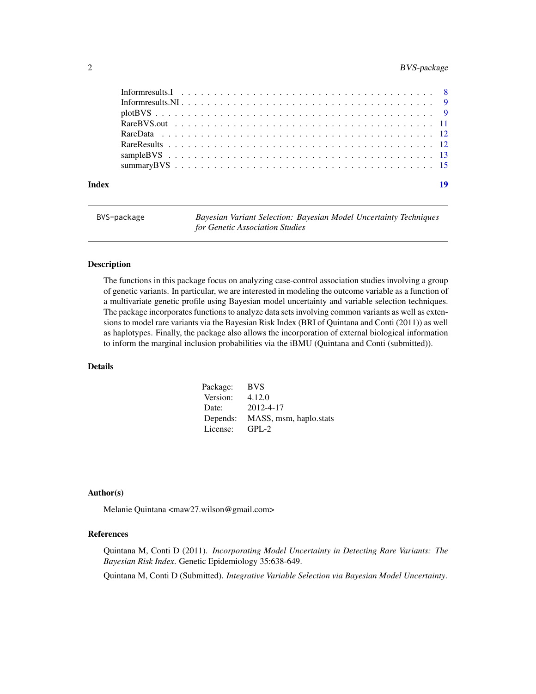#### <span id="page-1-0"></span>2 BVS-package

| Index | 19 |
|-------|----|

BVS-package *Bayesian Variant Selection: Bayesian Model Uncertainty Techniques for Genetic Association Studies*

#### Description

The functions in this package focus on analyzing case-control association studies involving a group of genetic variants. In particular, we are interested in modeling the outcome variable as a function of a multivariate genetic profile using Bayesian model uncertainty and variable selection techniques. The package incorporates functions to analyze data sets involving common variants as well as extensions to model rare variants via the Bayesian Risk Index (BRI of Quintana and Conti (2011)) as well as haplotypes. Finally, the package also allows the incorporation of external biological information to inform the marginal inclusion probabilities via the iBMU (Quintana and Conti (submitted)).

#### Details

| Package: | <b>BVS</b>             |
|----------|------------------------|
| Version: | 4.12.0                 |
| Date:    | 2012-4-17              |
| Depends: | MASS, msm, haplo.stats |
| License: | $GPL-2$                |

#### Author(s)

Melanie Quintana <maw27.wilson@gmail.com>

#### References

Quintana M, Conti D (2011). *Incorporating Model Uncertainty in Detecting Rare Variants: The Bayesian Risk Index*. Genetic Epidemiology 35:638-649.

Quintana M, Conti D (Submitted). *Integrative Variable Selection via Bayesian Model Uncertainty*.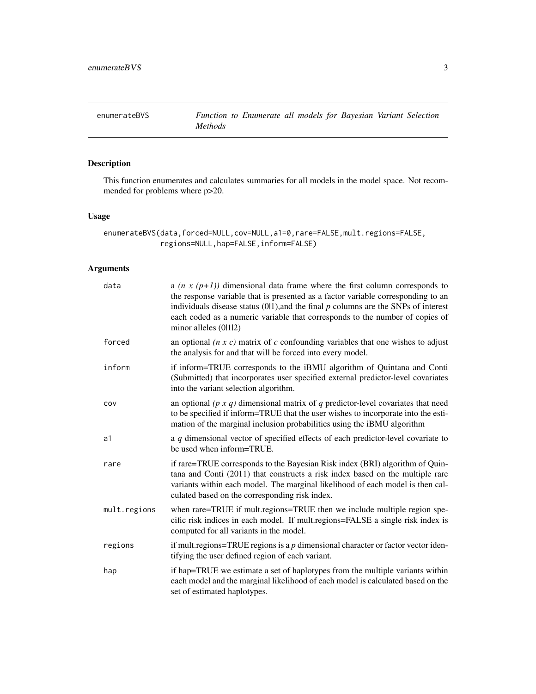<span id="page-2-1"></span><span id="page-2-0"></span>This function enumerates and calculates summaries for all models in the model space. Not recommended for problems where p>20.

#### Usage

enumerateBVS(data,forced=NULL,cov=NULL,a1=0,rare=FALSE,mult.regions=FALSE, regions=NULL,hap=FALSE,inform=FALSE)

#### Arguments

| data         | a $(n x (p+1))$ dimensional data frame where the first column corresponds to<br>the response variable that is presented as a factor variable corresponding to an<br>individuals disease status $(0 1)$ , and the final $p$ columns are the SNPs of interest<br>each coded as a numeric variable that corresponds to the number of copies of<br>minor alleles (0112) |
|--------------|---------------------------------------------------------------------------------------------------------------------------------------------------------------------------------------------------------------------------------------------------------------------------------------------------------------------------------------------------------------------|
| forced       | an optional $(n \times c)$ matrix of c confounding variables that one wishes to adjust<br>the analysis for and that will be forced into every model.                                                                                                                                                                                                                |
| inform       | if inform=TRUE corresponds to the iBMU algorithm of Quintana and Conti<br>(Submitted) that incorporates user specified external predictor-level covariates<br>into the variant selection algorithm.                                                                                                                                                                 |
| COV          | an optional ( $p \times q$ ) dimensional matrix of $q$ predictor-level covariates that need<br>to be specified if inform=TRUE that the user wishes to incorporate into the esti-<br>mation of the marginal inclusion probabilities using the iBMU algorithm                                                                                                         |
| a1           | a $q$ dimensional vector of specified effects of each predictor-level covariate to<br>be used when inform=TRUE.                                                                                                                                                                                                                                                     |
| rare         | if rare=TRUE corresponds to the Bayesian Risk index (BRI) algorithm of Quin-<br>tana and Conti (2011) that constructs a risk index based on the multiple rare<br>variants within each model. The marginal likelihood of each model is then cal-<br>culated based on the corresponding risk index.                                                                   |
| mult.regions | when rare=TRUE if mult.regions=TRUE then we include multiple region spe-<br>cific risk indices in each model. If mult.regions=FALSE a single risk index is<br>computed for all variants in the model.                                                                                                                                                               |
| regions      | if mult.regions=TRUE regions is a $p$ dimensional character or factor vector iden-<br>tifying the user defined region of each variant.                                                                                                                                                                                                                              |
| hap          | if hap=TRUE we estimate a set of haplotypes from the multiple variants within<br>each model and the marginal likelihood of each model is calculated based on the<br>set of estimated haplotypes.                                                                                                                                                                    |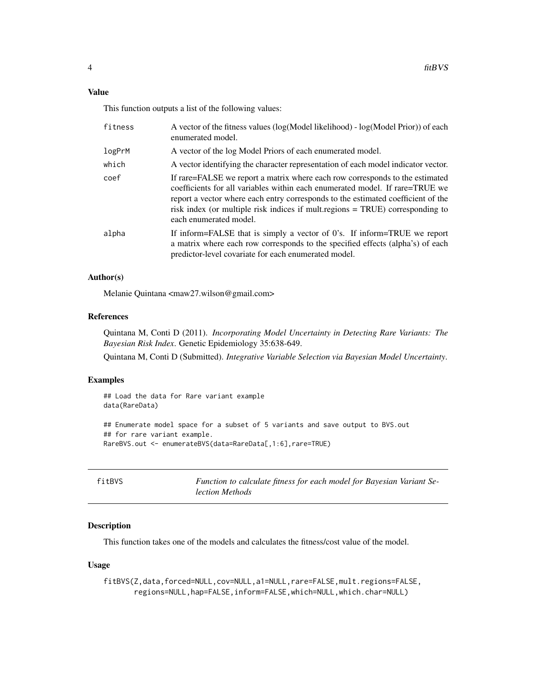#### <span id="page-3-0"></span>Value

This function outputs a list of the following values:

| fitness | A vector of the fitness values (log(Model likelihood) - log(Model Prior)) of each<br>enumerated model.                                                                                                                                                                                                                                                                                                     |
|---------|------------------------------------------------------------------------------------------------------------------------------------------------------------------------------------------------------------------------------------------------------------------------------------------------------------------------------------------------------------------------------------------------------------|
| logPrM  | A vector of the log Model Priors of each enumerated model.                                                                                                                                                                                                                                                                                                                                                 |
| which   | A vector identifying the character representation of each model indicator vector.                                                                                                                                                                                                                                                                                                                          |
| coef    | If rare=FALSE we report a matrix where each row corresponds to the estimated<br>coefficients for all variables within each enumerated model. If rare=TRUE we<br>report a vector where each entry corresponds to the estimated coefficient of the<br>risk index (or multiple risk indices if multiple risk indices in the risk indices if multiple rate in TRUE) corresponding to<br>each enumerated model. |
| alpha   | If inform=FALSE that is simply a vector of 0's. If inform=TRUE we report<br>a matrix where each row corresponds to the specified effects (alpha's) of each<br>predictor-level covariate for each enumerated model.                                                                                                                                                                                         |

#### Author(s)

Melanie Quintana <maw27.wilson@gmail.com>

#### References

Quintana M, Conti D (2011). *Incorporating Model Uncertainty in Detecting Rare Variants: The Bayesian Risk Index*. Genetic Epidemiology 35:638-649.

Quintana M, Conti D (Submitted). *Integrative Variable Selection via Bayesian Model Uncertainty*.

#### Examples

## Load the data for Rare variant example data(RareData)

```
## Enumerate model space for a subset of 5 variants and save output to BVS.out
## for rare variant example.
RareBVS.out <- enumerateBVS(data=RareData[,1:6],rare=TRUE)
```

| fitBVS | Function to calculate fitness for each model for Bayesian Variant Se- |
|--------|-----------------------------------------------------------------------|
|        | lection Methods                                                       |

#### Description

This function takes one of the models and calculates the fitness/cost value of the model.

#### Usage

fitBVS(Z,data,forced=NULL,cov=NULL,a1=NULL,rare=FALSE,mult.regions=FALSE, regions=NULL,hap=FALSE,inform=FALSE,which=NULL,which.char=NULL)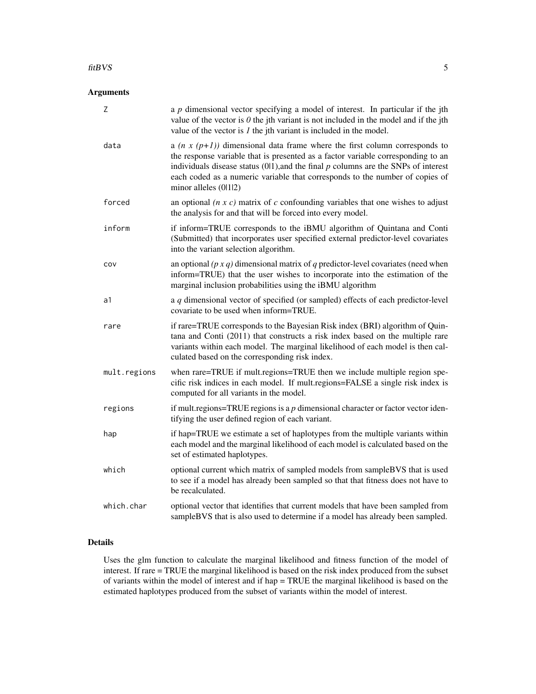#### Arguments

| Z            | a $p$ dimensional vector specifying a model of interest. In particular if the jth<br>value of the vector is $\theta$ the jth variant is not included in the model and if the jth<br>value of the vector is $I$ the jth variant is included in the model.                                                                                                                  |
|--------------|---------------------------------------------------------------------------------------------------------------------------------------------------------------------------------------------------------------------------------------------------------------------------------------------------------------------------------------------------------------------------|
| data         | a ( $n \times (p+1)$ ) dimensional data frame where the first column corresponds to<br>the response variable that is presented as a factor variable corresponding to an<br>individuals disease status $(01)$ , and the final $p$ columns are the SNPs of interest<br>each coded as a numeric variable that corresponds to the number of copies of<br>minor alleles (0112) |
| forced       | an optional $(n \times c)$ matrix of c confounding variables that one wishes to adjust<br>the analysis for and that will be forced into every model.                                                                                                                                                                                                                      |
| inform       | if inform=TRUE corresponds to the iBMU algorithm of Quintana and Conti<br>(Submitted) that incorporates user specified external predictor-level covariates<br>into the variant selection algorithm.                                                                                                                                                                       |
| COV          | an optional $(p \times q)$ dimensional matrix of q predictor-level covariates (need when<br>inform=TRUE) that the user wishes to incorporate into the estimation of the<br>marginal inclusion probabilities using the iBMU algorithm                                                                                                                                      |
| a1           | a $q$ dimensional vector of specified (or sampled) effects of each predictor-level<br>covariate to be used when inform=TRUE.                                                                                                                                                                                                                                              |
| rare         | if rare=TRUE corresponds to the Bayesian Risk index (BRI) algorithm of Quin-<br>tana and Conti (2011) that constructs a risk index based on the multiple rare<br>variants within each model. The marginal likelihood of each model is then cal-<br>culated based on the corresponding risk index.                                                                         |
| mult.regions | when rare=TRUE if mult.regions=TRUE then we include multiple region spe-<br>cific risk indices in each model. If mult.regions=FALSE a single risk index is<br>computed for all variants in the model.                                                                                                                                                                     |
| regions      | if mult.regions=TRUE regions is a $p$ dimensional character or factor vector iden-<br>tifying the user defined region of each variant.                                                                                                                                                                                                                                    |
| hap          | if hap=TRUE we estimate a set of haplotypes from the multiple variants within<br>each model and the marginal likelihood of each model is calculated based on the<br>set of estimated haplotypes.                                                                                                                                                                          |
| which        | optional current which matrix of sampled models from sampleBVS that is used<br>to see if a model has already been sampled so that that fitness does not have to<br>be recalculated.                                                                                                                                                                                       |
| which.char   | optional vector that identifies that current models that have been sampled from<br>sampleBVS that is also used to determine if a model has already been sampled.                                                                                                                                                                                                          |

#### Details

Uses the glm function to calculate the marginal likelihood and fitness function of the model of interest. If rare = TRUE the marginal likelihood is based on the risk index produced from the subset of variants within the model of interest and if hap = TRUE the marginal likelihood is based on the estimated haplotypes produced from the subset of variants within the model of interest.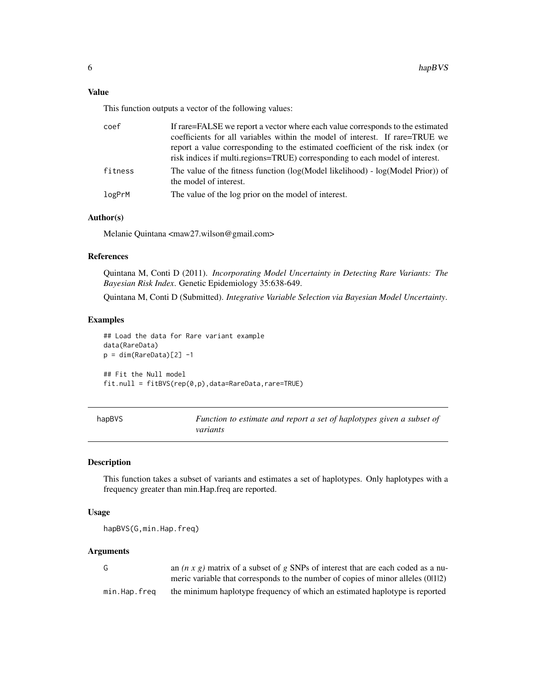<span id="page-5-0"></span>This function outputs a vector of the following values:

| coef    | If rare=FALSE we report a vector where each value corresponds to the estimated                                 |
|---------|----------------------------------------------------------------------------------------------------------------|
|         | coefficients for all variables within the model of interest. If rare=TRUE we                                   |
|         | report a value corresponding to the estimated coefficient of the risk index (or                                |
|         | risk indices if multi.regions=TRUE) corresponding to each model of interest.                                   |
| fitness | The value of the fitness function ( $log(Model$ likelihood) - $log(Model$ Prior)) of<br>the model of interest. |
| logPrM  | The value of the log prior on the model of interest.                                                           |

#### Author(s)

Melanie Quintana <maw27.wilson@gmail.com>

#### References

Quintana M, Conti D (2011). *Incorporating Model Uncertainty in Detecting Rare Variants: The Bayesian Risk Index*. Genetic Epidemiology 35:638-649.

Quintana M, Conti D (Submitted). *Integrative Variable Selection via Bayesian Model Uncertainty*.

#### Examples

```
## Load the data for Rare variant example
data(RareData)
p = dim(RareData)[2] -1
## Fit the Null model
fit.null = fitBVS(rep(0,p),data=RareData,rare=TRUE)
```

| hapBVS | Function to estimate and report a set of haplotypes given a subset of |
|--------|-----------------------------------------------------------------------|
|        | variants                                                              |

#### Description

This function takes a subset of variants and estimates a set of haplotypes. Only haplotypes with a frequency greater than min.Hap.freq are reported.

#### Usage

hapBVS(G,min.Hap.freq)

#### Arguments

| G            | an $(n \times g)$ matrix of a subset of g SNPs of interest that are each coded as a nu- |
|--------------|-----------------------------------------------------------------------------------------|
|              | meric variable that corresponds to the number of copies of minor alleles (0.112)        |
| min.Hap.freq | the minimum haplotype frequency of which an estimated haplotype is reported             |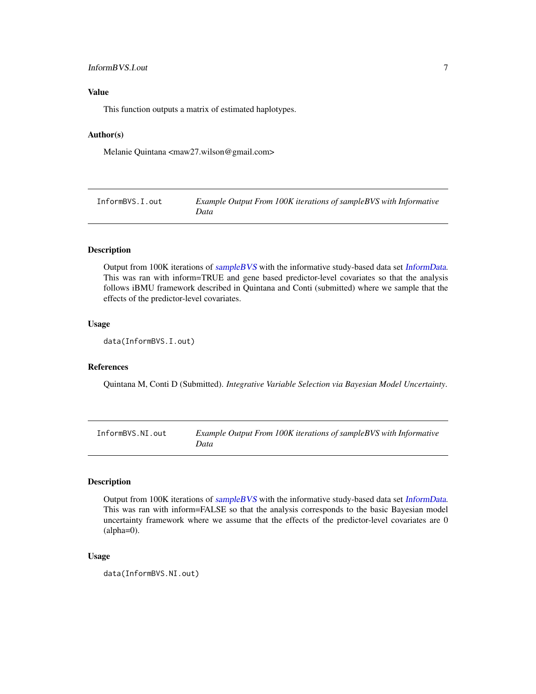#### <span id="page-6-0"></span>InformBVS.I.out 7

#### Value

This function outputs a matrix of estimated haplotypes.

#### Author(s)

Melanie Quintana <maw27.wilson@gmail.com>

| InformBVS.I.out | Example Output From 100K iterations of sampleBVS with Informative |
|-----------------|-------------------------------------------------------------------|
|                 | Data                                                              |

#### Description

Output from 100K iterations of [sampleBVS](#page-12-1) with the informative study-based data set [InformData](#page-7-1). This was ran with inform=TRUE and gene based predictor-level covariates so that the analysis follows iBMU framework described in Quintana and Conti (submitted) where we sample that the effects of the predictor-level covariates.

#### Usage

```
data(InformBVS.I.out)
```
#### References

Quintana M, Conti D (Submitted). *Integrative Variable Selection via Bayesian Model Uncertainty*.

InformBVS.NI.out *Example Output From 100K iterations of sampleBVS with Informative Data*

#### Description

Output from 100K iterations of [sampleBVS](#page-12-1) with the informative study-based data set [InformData](#page-7-1). This was ran with inform=FALSE so that the analysis corresponds to the basic Bayesian model uncertainty framework where we assume that the effects of the predictor-level covariates are 0 (alpha=0).

#### Usage

data(InformBVS.NI.out)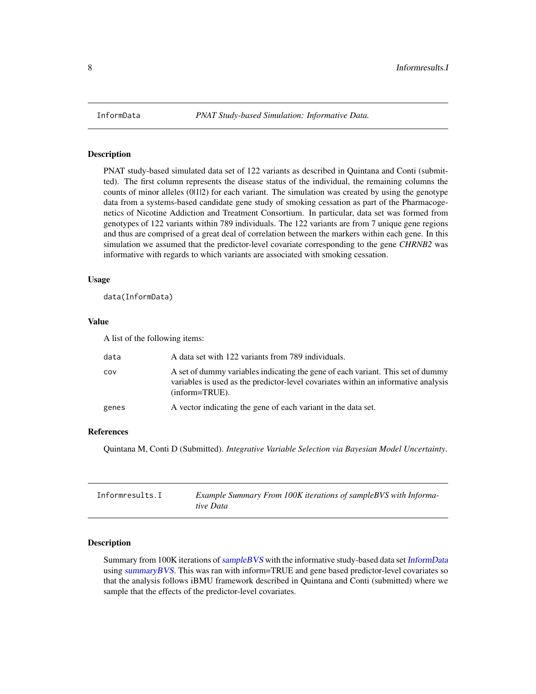<span id="page-7-1"></span><span id="page-7-0"></span>

PNAT study-based simulated data set of 122 variants as described in Quintana and Conti (submitted). The first column represents the disease status of the individual, the remaining columns the counts of minor alleles (0112) for each variant. The simulation was created by using the genotype data from a systems-based candidate gene study of smoking cessation as part of the Pharmacogenetics of Nicotine Addiction and Treatment Consortium. In particular, data set was formed from genotypes of 122 variants within 789 individuals. The 122 variants are from 7 unique gene regions and thus are comprised of a great deal of correlation between the markers within each gene. In this simulation we assumed that the predictor-level covariate corresponding to the gene *CHRNB2* was informative with regards to which variants are associated with smoking cessation.

#### Usage

data(InformData)

#### Value

A list of the following items:

| data  | A data set with 122 variants from 789 individuals.                                                                                                                                           |
|-------|----------------------------------------------------------------------------------------------------------------------------------------------------------------------------------------------|
| COV   | A set of dummy variables indicating the gene of each variant. This set of dummy<br>variables is used as the predictor-level covariates within an informative analysis<br>$(inform = TRUE)$ . |
| genes | A vector indicating the gene of each variant in the data set.                                                                                                                                |

#### References

Quintana M, Conti D (Submitted). *Integrative Variable Selection via Bayesian Model Uncertainty*.

| Informresults.I | Example Summary From 100K iterations of sample BVS with Informa- |
|-----------------|------------------------------------------------------------------|
|                 | tive Data                                                        |

#### Description

Summary from 100K iterations of [sampleBVS](#page-12-1) with the informative study-based data set [InformData](#page-7-1) using [summaryBVS](#page-14-1). This was ran with inform=TRUE and gene based predictor-level covariates so that the analysis follows iBMU framework described in Quintana and Conti (submitted) where we sample that the effects of the predictor-level covariates.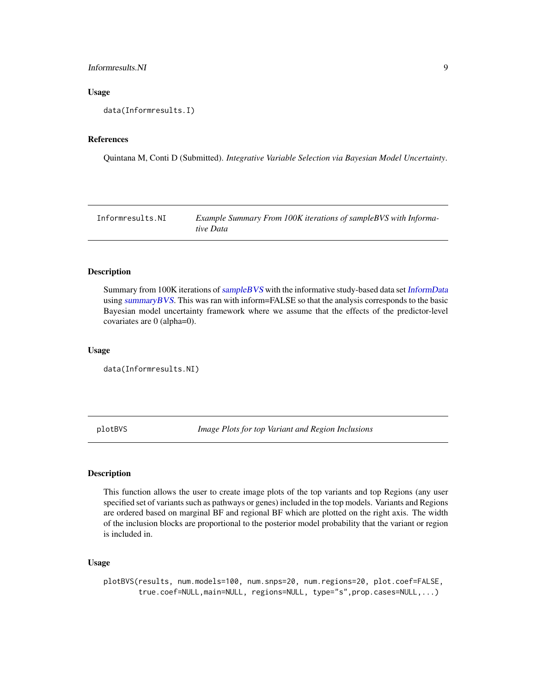#### <span id="page-8-0"></span>Informresults.NI 9

#### Usage

data(Informresults.I)

#### References

Quintana M, Conti D (Submitted). *Integrative Variable Selection via Bayesian Model Uncertainty*.

Informresults.NI *Example Summary From 100K iterations of sampleBVS with Informative Data*

#### **Description**

Summary from 100K iterations of [sampleBVS](#page-12-1) with the informative study-based data set [InformData](#page-7-1) using [summaryBVS](#page-14-1). This was ran with inform=FALSE so that the analysis corresponds to the basic Bayesian model uncertainty framework where we assume that the effects of the predictor-level covariates are 0 (alpha=0).

#### Usage

data(Informresults.NI)

plotBVS *Image Plots for top Variant and Region Inclusions*

#### Description

This function allows the user to create image plots of the top variants and top Regions (any user specified set of variants such as pathways or genes) included in the top models. Variants and Regions are ordered based on marginal BF and regional BF which are plotted on the right axis. The width of the inclusion blocks are proportional to the posterior model probability that the variant or region is included in.

#### Usage

```
plotBVS(results, num.models=100, num.snps=20, num.regions=20, plot.coef=FALSE,
        true.coef=NULL,main=NULL, regions=NULL, type="s",prop.cases=NULL,...)
```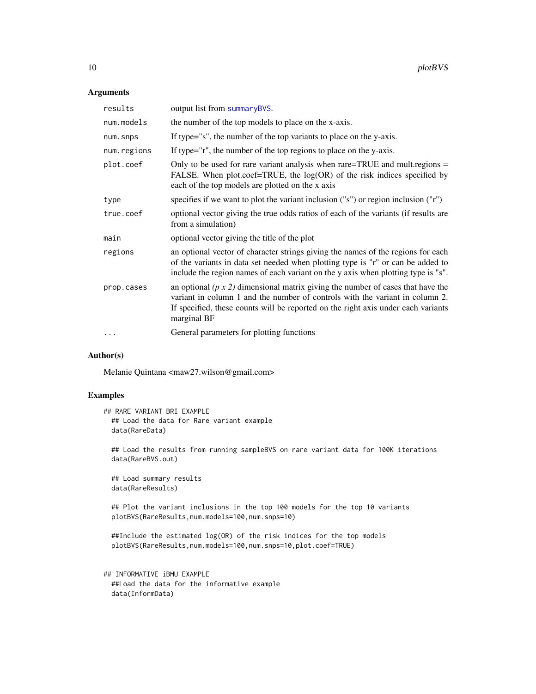#### Arguments

| results     | output list from summaryBVS.                                                                                                                                                                                                                                               |
|-------------|----------------------------------------------------------------------------------------------------------------------------------------------------------------------------------------------------------------------------------------------------------------------------|
| num.models  | the number of the top models to place on the x-axis.                                                                                                                                                                                                                       |
| num.snps    | If type="s", the number of the top variants to place on the y-axis.                                                                                                                                                                                                        |
| num.regions | If type="r", the number of the top regions to place on the y-axis.                                                                                                                                                                                                         |
| plot.coef   | Only to be used for rare variant analysis when rare=TRUE and mult.regions =<br>FALSE. When plot.coef=TRUE, the $log(OR)$ of the risk indices specified by<br>each of the top models are plotted on the x axis                                                              |
| type        | specifies if we want to plot the variant inclusion $("s")$ or region inclusion $("r")$                                                                                                                                                                                     |
| true.coef   | optional vector giving the true odds ratios of each of the variants (if results are<br>from a simulation)                                                                                                                                                                  |
| main        | optional vector giving the title of the plot                                                                                                                                                                                                                               |
| regions     | an optional vector of character strings giving the names of the regions for each<br>of the variants in data set needed when plotting type is "r" or can be added to<br>include the region names of each variant on the y axis when plotting type is "s".                   |
| prop.cases  | an optional $(p \times 2)$ dimensional matrix giving the number of cases that have the<br>variant in column 1 and the number of controls with the variant in column 2.<br>If specified, these counts will be reported on the right axis under each variants<br>marginal BF |
|             | General parameters for plotting functions                                                                                                                                                                                                                                  |
|             |                                                                                                                                                                                                                                                                            |

#### Author(s)

Melanie Quintana <maw27.wilson@gmail.com>

#### Examples

```
## RARE VARIANT BRI EXAMPLE
 ## Load the data for Rare variant example
 data(RareData)
```
## Load the results from running sampleBVS on rare variant data for 100K iterations data(RareBVS.out)

## Load summary results data(RareResults)

## Plot the variant inclusions in the top 100 models for the top 10 variants plotBVS(RareResults,num.models=100,num.snps=10)

```
##Include the estimated log(OR) of the risk indices for the top models
plotBVS(RareResults,num.models=100,num.snps=10,plot.coef=TRUE)
```

```
## INFORMATIVE iBMU EXAMPLE
 ##Load the data for the informative example
 data(InformData)
```
<span id="page-9-0"></span>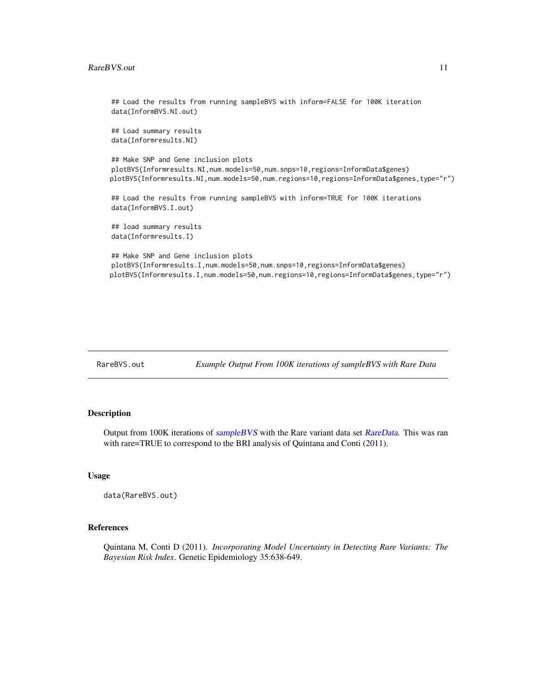```
## Load the results from running sampleBVS with inform=FALSE for 100K iteration
data(InformBVS.NI.out)
## Load summary results
data(Informresults.NI)
## Make SNP and Gene inclusion plots
plotBVS(Informresults.NI,num.models=50,num.snps=10,regions=InformData$genes)
plotBVS(Informresults.NI,num.models=50,num.regions=10,regions=InformData$genes,type="r")
## Load the results from running sampleBVS with inform=TRUE for 100K iterations
data(InformBVS.I.out)
## load summary results
data(Informresults.I)
## Make SNP and Gene inclusion plots
plotBVS(Informresults.I,num.models=50,num.snps=10,regions=InformData$genes)
plotBVS(Informresults.I,num.models=50,num.regions=10,regions=InformData$genes,type="r")
```

| RareBVS.out | Example Output From 100K iterations of sampleBVS with Rare Data |  |  |  |
|-------------|-----------------------------------------------------------------|--|--|--|
|-------------|-----------------------------------------------------------------|--|--|--|

Output from 100K iterations of [sampleBVS](#page-12-1) with the Rare variant data set [RareData](#page-11-1). This was ran with rare=TRUE to correspond to the BRI analysis of Quintana and Conti (2011).

#### Usage

```
data(RareBVS.out)
```
#### References

Quintana M, Conti D (2011). *Incorporating Model Uncertainty in Detecting Rare Variants: The Bayesian Risk Index*. Genetic Epidemiology 35:638-649.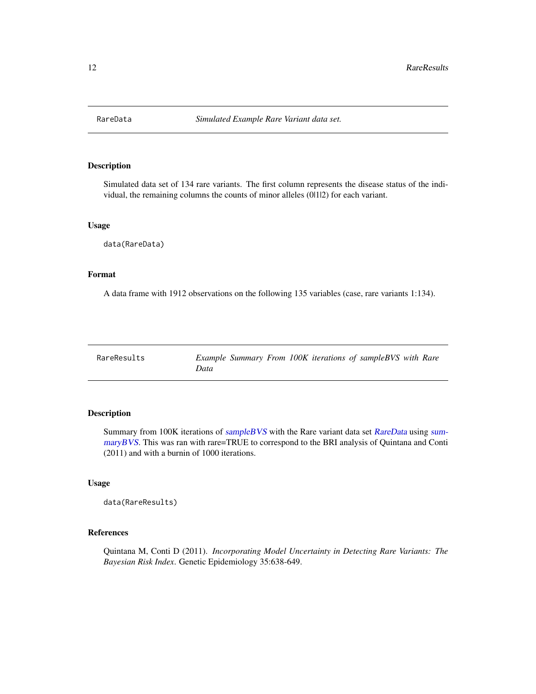<span id="page-11-1"></span><span id="page-11-0"></span>

Simulated data set of 134 rare variants. The first column represents the disease status of the individual, the remaining columns the counts of minor alleles (0|1|2) for each variant.

#### Usage

data(RareData)

#### Format

A data frame with 1912 observations on the following 135 variables (case, rare variants 1:134).

| RareResults | Example Summary From 100K iterations of sampleBVS with Rare |  |  |  |  |
|-------------|-------------------------------------------------------------|--|--|--|--|
|             | Data                                                        |  |  |  |  |

#### Description

Summary from 100K iterations of [sampleBVS](#page-12-1) with the Rare variant data set [RareData](#page-11-1) using [sum](#page-14-1)[maryBVS](#page-14-1). This was ran with rare=TRUE to correspond to the BRI analysis of Quintana and Conti (2011) and with a burnin of 1000 iterations.

#### Usage

```
data(RareResults)
```
#### References

Quintana M, Conti D (2011). *Incorporating Model Uncertainty in Detecting Rare Variants: The Bayesian Risk Index*. Genetic Epidemiology 35:638-649.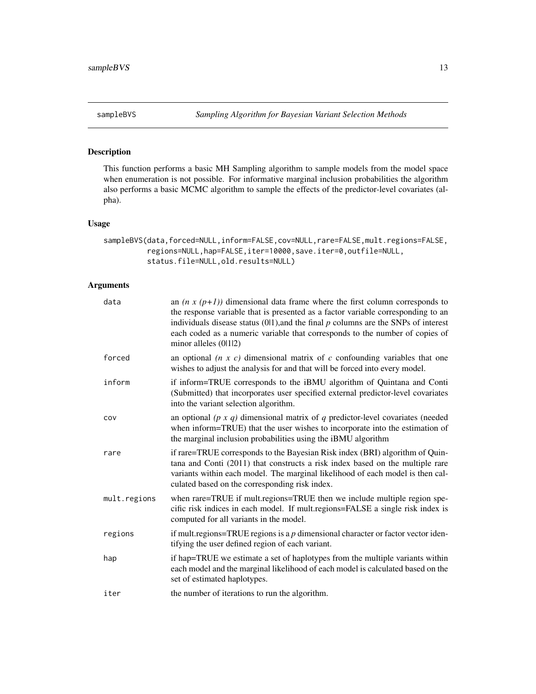<span id="page-12-1"></span><span id="page-12-0"></span>

This function performs a basic MH Sampling algorithm to sample models from the model space when enumeration is not possible. For informative marginal inclusion probabilities the algorithm also performs a basic MCMC algorithm to sample the effects of the predictor-level covariates (alpha).

#### Usage

```
sampleBVS(data,forced=NULL,inform=FALSE,cov=NULL,rare=FALSE,mult.regions=FALSE,
         regions=NULL,hap=FALSE,iter=10000,save.iter=0,outfile=NULL,
         status.file=NULL,old.results=NULL)
```
#### Arguments

| data         | an $(n x (p+1))$ dimensional data frame where the first column corresponds to<br>the response variable that is presented as a factor variable corresponding to an<br>individuals disease status $(0 1)$ , and the final $p$ columns are the SNPs of interest<br>each coded as a numeric variable that corresponds to the number of copies of<br>minor alleles $(0 1 2)$ |
|--------------|-------------------------------------------------------------------------------------------------------------------------------------------------------------------------------------------------------------------------------------------------------------------------------------------------------------------------------------------------------------------------|
| forced       | an optional $(n \times c)$ dimensional matrix of c confounding variables that one<br>wishes to adjust the analysis for and that will be forced into every model.                                                                                                                                                                                                        |
| inform       | if inform=TRUE corresponds to the iBMU algorithm of Quintana and Conti<br>(Submitted) that incorporates user specified external predictor-level covariates<br>into the variant selection algorithm.                                                                                                                                                                     |
| cov          | an optional ( $p \times q$ ) dimensional matrix of q predictor-level covariates (needed<br>when inform=TRUE) that the user wishes to incorporate into the estimation of<br>the marginal inclusion probabilities using the iBMU algorithm                                                                                                                                |
| rare         | if rare=TRUE corresponds to the Bayesian Risk index (BRI) algorithm of Quin-<br>tana and Conti (2011) that constructs a risk index based on the multiple rare<br>variants within each model. The marginal likelihood of each model is then cal-<br>culated based on the corresponding risk index.                                                                       |
| mult.regions | when rare=TRUE if mult.regions=TRUE then we include multiple region spe-<br>cific risk indices in each model. If mult.regions=FALSE a single risk index is<br>computed for all variants in the model.                                                                                                                                                                   |
| regions      | if mult.regions=TRUE regions is a $p$ dimensional character or factor vector iden-<br>tifying the user defined region of each variant.                                                                                                                                                                                                                                  |
| hap          | if hap=TRUE we estimate a set of haplotypes from the multiple variants within<br>each model and the marginal likelihood of each model is calculated based on the<br>set of estimated haplotypes.                                                                                                                                                                        |
| iter         | the number of iterations to run the algorithm.                                                                                                                                                                                                                                                                                                                          |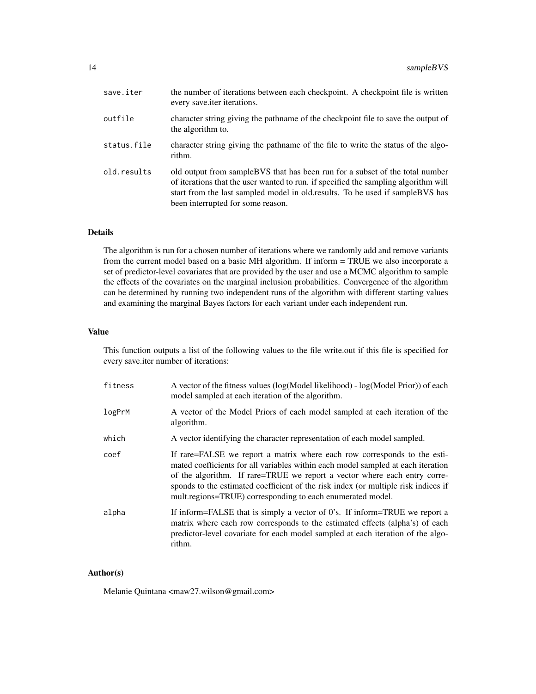| save.iter   | the number of iterations between each checkpoint. A checkpoint file is written<br>every save <i>iter</i> iterations.                                                                                                                                                                        |
|-------------|---------------------------------------------------------------------------------------------------------------------------------------------------------------------------------------------------------------------------------------------------------------------------------------------|
| outfile     | character string giving the pathname of the checkpoint file to save the output of<br>the algorithm to.                                                                                                                                                                                      |
| status.file | character string giving the pathname of the file to write the status of the algo-<br>rithm.                                                                                                                                                                                                 |
| old.results | old output from sample BVS that has been run for a subset of the total number<br>of iterations that the user wanted to run. if specified the sampling algorithm will<br>start from the last sampled model in old.results. To be used if sample BVS has<br>been interrupted for some reason. |

#### Details

The algorithm is run for a chosen number of iterations where we randomly add and remove variants from the current model based on a basic MH algorithm. If inform = TRUE we also incorporate a set of predictor-level covariates that are provided by the user and use a MCMC algorithm to sample the effects of the covariates on the marginal inclusion probabilities. Convergence of the algorithm can be determined by running two independent runs of the algorithm with different starting values and examining the marginal Bayes factors for each variant under each independent run.

#### Value

This function outputs a list of the following values to the file write.out if this file is specified for every save.iter number of iterations:

| fitness | A vector of the fitness values (log(Model likelihood) - log(Model Prior)) of each<br>model sampled at each iteration of the algorithm.                                                                                                                                                                                                                                                        |
|---------|-----------------------------------------------------------------------------------------------------------------------------------------------------------------------------------------------------------------------------------------------------------------------------------------------------------------------------------------------------------------------------------------------|
| logPrM  | A vector of the Model Priors of each model sampled at each iteration of the<br>algorithm.                                                                                                                                                                                                                                                                                                     |
| which   | A vector identifying the character representation of each model sampled.                                                                                                                                                                                                                                                                                                                      |
| coef    | If rare=FALSE we report a matrix where each row corresponds to the esti-<br>mated coefficients for all variables within each model sampled at each iteration<br>of the algorithm. If rare=TRUE we report a vector where each entry corre-<br>sponds to the estimated coefficient of the risk index (or multiple risk indices if<br>mult.regions=TRUE) corresponding to each enumerated model. |
| alpha   | If inform=FALSE that is simply a vector of 0's. If inform=TRUE we report a<br>matrix where each row corresponds to the estimated effects (alpha's) of each<br>predictor-level covariate for each model sampled at each iteration of the algo-<br>rithm.                                                                                                                                       |

#### Author(s)

Melanie Quintana <maw27.wilson@gmail.com>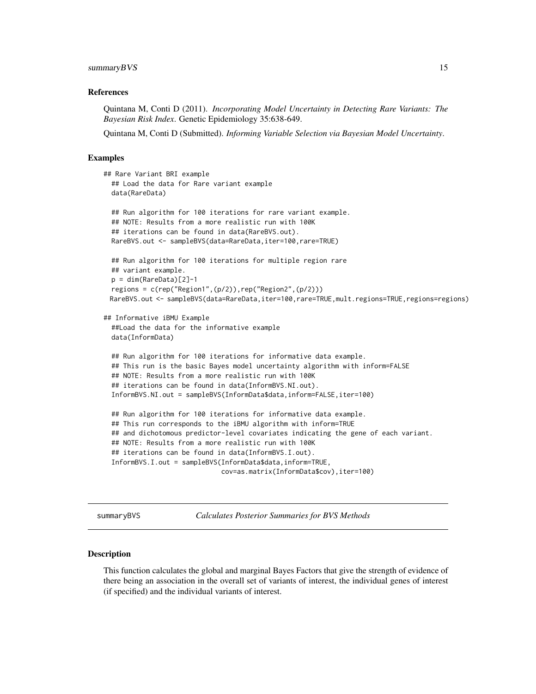#### <span id="page-14-0"></span>summaryBVS 15

#### References

Quintana M, Conti D (2011). *Incorporating Model Uncertainty in Detecting Rare Variants: The Bayesian Risk Index*. Genetic Epidemiology 35:638-649.

Quintana M, Conti D (Submitted). *Informing Variable Selection via Bayesian Model Uncertainty*.

#### Examples

```
## Rare Variant BRI example
 ## Load the data for Rare variant example
 data(RareData)
 ## Run algorithm for 100 iterations for rare variant example.
 ## NOTE: Results from a more realistic run with 100K
 ## iterations can be found in data(RareBVS.out).
 RareBVS.out <- sampleBVS(data=RareData,iter=100,rare=TRUE)
 ## Run algorithm for 100 iterations for multiple region rare
 ## variant example.
 p = dim(RareData)[2]-1regions = c(rep("Region1",(p/2)),rep("Region2",(p/2)))
 RareBVS.out <- sampleBVS(data=RareData,iter=100,rare=TRUE,mult.regions=TRUE,regions=regions)
## Informative iBMU Example
 ##Load the data for the informative example
 data(InformData)
 ## Run algorithm for 100 iterations for informative data example.
 ## This run is the basic Bayes model uncertainty algorithm with inform=FALSE
 ## NOTE: Results from a more realistic run with 100K
 ## iterations can be found in data(InformBVS.NI.out).
 InformBVS.NI.out = sampleBVS(InformData$data,inform=FALSE,iter=100)
 ## Run algorithm for 100 iterations for informative data example.
 ## This run corresponds to the iBMU algorithm with inform=TRUE
 ## and dichotomous predictor-level covariates indicating the gene of each variant.
 ## NOTE: Results from a more realistic run with 100K
 ## iterations can be found in data(InformBVS.I.out).
 InformBVS.I.out = sampleBVS(InformData$data,inform=TRUE,
                              cov=as.matrix(InformData$cov),iter=100)
```
<span id="page-14-1"></span>summaryBVS *Calculates Posterior Summaries for BVS Methods*

#### **Description**

This function calculates the global and marginal Bayes Factors that give the strength of evidence of there being an association in the overall set of variants of interest, the individual genes of interest (if specified) and the individual variants of interest.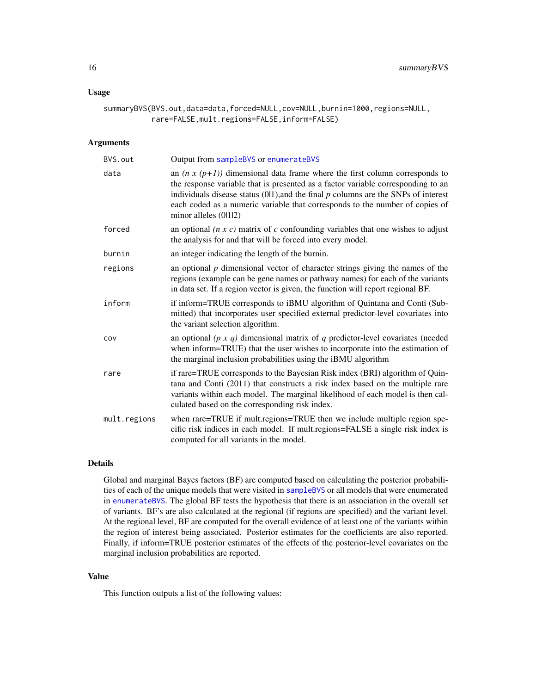#### <span id="page-15-0"></span>Usage

```
summaryBVS(BVS.out,data=data,forced=NULL,cov=NULL,burnin=1000,regions=NULL,
           rare=FALSE,mult.regions=FALSE,inform=FALSE)
```
#### **Arguments**

| BVS.out      | Output from sampleBVS or enumerateBVS                                                                                                                                                                                                                                                                                                                                |
|--------------|----------------------------------------------------------------------------------------------------------------------------------------------------------------------------------------------------------------------------------------------------------------------------------------------------------------------------------------------------------------------|
| data         | an $(n x (p+1))$ dimensional data frame where the first column corresponds to<br>the response variable that is presented as a factor variable corresponding to an<br>individuals disease status $(0 1)$ , and the final $p$ columns are the SNPs of interest<br>each coded as a numeric variable that corresponds to the number of copies of<br>minor alleles (0112) |
| forced       | an optional $(n \times c)$ matrix of c confounding variables that one wishes to adjust<br>the analysis for and that will be forced into every model.                                                                                                                                                                                                                 |
| burnin       | an integer indicating the length of the burnin.                                                                                                                                                                                                                                                                                                                      |
| regions      | an optional $p$ dimensional vector of character strings giving the names of the<br>regions (example can be gene names or pathway names) for each of the variants<br>in data set. If a region vector is given, the function will report regional BF.                                                                                                                  |
| inform       | if inform=TRUE corresponds to iBMU algorithm of Quintana and Conti (Sub-<br>mitted) that incorporates user specified external predictor-level covariates into<br>the variant selection algorithm.                                                                                                                                                                    |
| COV          | an optional ( $p \times q$ ) dimensional matrix of $q$ predictor-level covariates (needed<br>when inform=TRUE) that the user wishes to incorporate into the estimation of<br>the marginal inclusion probabilities using the iBMU algorithm                                                                                                                           |
| rare         | if rare=TRUE corresponds to the Bayesian Risk index (BRI) algorithm of Quin-<br>tana and Conti (2011) that constructs a risk index based on the multiple rare<br>variants within each model. The marginal likelihood of each model is then cal-<br>culated based on the corresponding risk index.                                                                    |
| mult.regions | when rare=TRUE if mult.regions=TRUE then we include multiple region spe-<br>cific risk indices in each model. If mult.regions=FALSE a single risk index is<br>computed for all variants in the model.                                                                                                                                                                |

#### Details

Global and marginal Bayes factors (BF) are computed based on calculating the posterior probabilities of each of the unique models that were visited in [sampleBVS](#page-12-1) or all models that were enumerated in [enumerateBVS](#page-2-1). The global BF tests the hypothesis that there is an association in the overall set of variants. BF's are also calculated at the regional (if regions are specified) and the variant level. At the regional level, BF are computed for the overall evidence of at least one of the variants within the region of interest being associated. Posterior estimates for the coefficients are also reported. Finally, if inform=TRUE posterior estimates of the effects of the posterior-level covariates on the marginal inclusion probabilities are reported.

#### Value

This function outputs a list of the following values: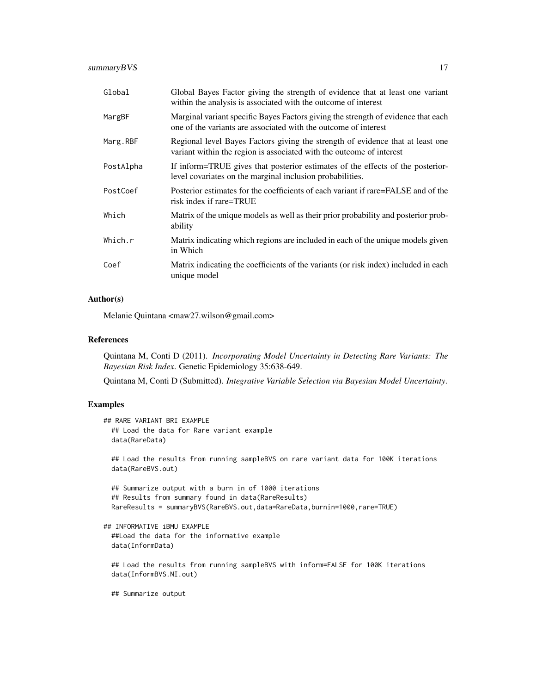| Global    | Global Bayes Factor giving the strength of evidence that at least one variant<br>within the analysis is associated with the outcome of interest        |
|-----------|--------------------------------------------------------------------------------------------------------------------------------------------------------|
| MargBF    | Marginal variant specific Bayes Factors giving the strength of evidence that each<br>one of the variants are associated with the outcome of interest   |
| Marg.RBF  | Regional level Bayes Factors giving the strength of evidence that at least one<br>variant within the region is associated with the outcome of interest |
| PostAlpha | If inform=TRUE gives that posterior estimates of the effects of the posterior-<br>level covariates on the marginal inclusion probabilities.            |
| PostCoef  | Posterior estimates for the coefficients of each variant if rare=FALSE and of the<br>risk index if rare=TRUE                                           |
| Which     | Matrix of the unique models as well as their prior probability and posterior prob-<br>ability                                                          |
| Which.r   | Matrix indicating which regions are included in each of the unique models given<br>in Which                                                            |
| Coef      | Matrix indicating the coefficients of the variants (or risk index) included in each<br>unique model                                                    |

#### Author(s)

Melanie Quintana <maw27.wilson@gmail.com>

#### References

Quintana M, Conti D (2011). *Incorporating Model Uncertainty in Detecting Rare Variants: The Bayesian Risk Index*. Genetic Epidemiology 35:638-649.

Quintana M, Conti D (Submitted). *Integrative Variable Selection via Bayesian Model Uncertainty*.

#### Examples

```
## RARE VARIANT BRI EXAMPLE
 ## Load the data for Rare variant example
 data(RareData)
 ## Load the results from running sampleBVS on rare variant data for 100K iterations
 data(RareBVS.out)
 ## Summarize output with a burn in of 1000 iterations
 ## Results from summary found in data(RareResults)
 RareResults = summaryBVS(RareBVS.out,data=RareData,burnin=1000,rare=TRUE)
## INFORMATIVE iBMU EXAMPLE
 ##Load the data for the informative example
 data(InformData)
 ## Load the results from running sampleBVS with inform=FALSE for 100K iterations
 data(InformBVS.NI.out)
```
## Summarize output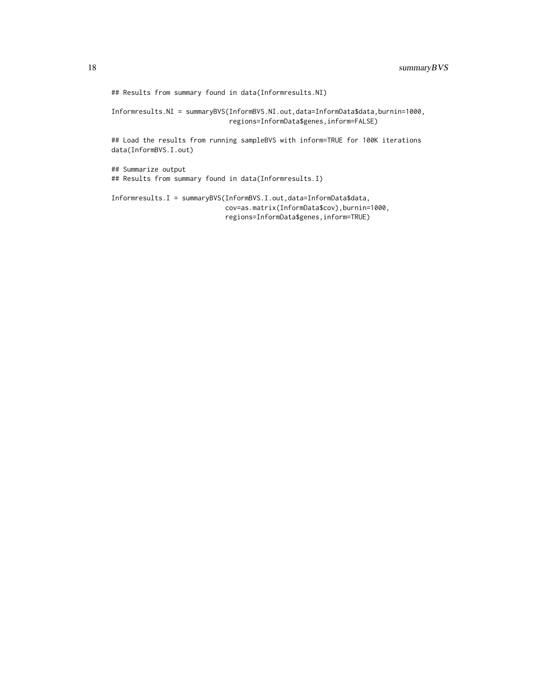## Results from summary found in data(Informresults.NI)

Informresults.NI = summaryBVS(InformBVS.NI.out,data=InformData\$data,burnin=1000, regions=InformData\$genes,inform=FALSE)

## Load the results from running sampleBVS with inform=TRUE for 100K iterations data(InformBVS.I.out)

## Summarize output ## Results from summary found in data(Informresults.I)

Informresults.I = summaryBVS(InformBVS.I.out,data=InformData\$data, cov=as.matrix(InformData\$cov),burnin=1000, regions=InformData\$genes,inform=TRUE)